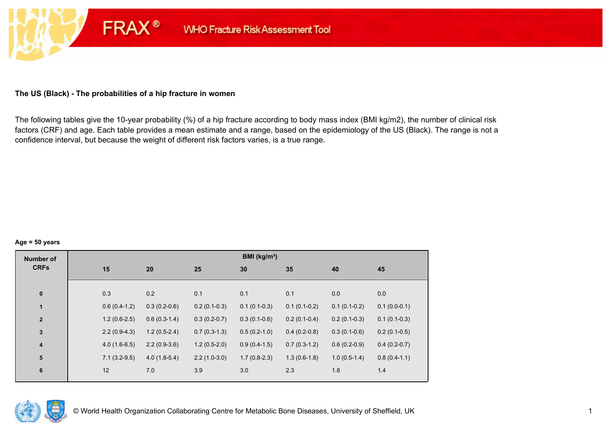# **The US (Black) - The probabilities of a hip fracture in women**

**FRAX®** 

The following tables give the 10-year probability (%) of a hip fracture according to body mass index (BMI kg/m2), the number of clinical risk factors (CRF) and age. Each table provides a mean estimate and a range, based on the epidemiology of the US (Black). The range is not a confidence interval, but because the weight of different risk factors varies, is a true range.

#### **Age = 50 years**

| <b>Number of</b>        |                |                |                | <b>BMI</b> ( $kg/m2$ ) |                |                |                |
|-------------------------|----------------|----------------|----------------|------------------------|----------------|----------------|----------------|
| <b>CRFs</b>             | 15             | 20             | 25             | 30                     | 35             | 40             | 45             |
|                         |                |                |                |                        |                |                |                |
| $\pmb{0}$               | 0.3            | 0.2            | 0.1            | 0.1                    | 0.1            | 0.0            | 0.0            |
| $\mathbf{1}$            | $0.6(0.4-1.2)$ | $0.3(0.2-0.6)$ | $0.2(0.1-0.3)$ | $0.1(0.1-0.3)$         | $0.1(0.1-0.2)$ | $0.1(0.1-0.2)$ | $0.1(0.0-0.1)$ |
| $\mathbf{2}$            | $1.2(0.6-2.5)$ | $0.6(0.3-1.4)$ | $0.3(0.2-0.7)$ | $0.3(0.1-0.6)$         | $0.2(0.1-0.4)$ | $0.2(0.1-0.3)$ | $0.1(0.1-0.3)$ |
| $\mathbf 3$             | $2.2(0.9-4.3)$ | $1.2(0.5-2.4)$ | $0.7(0.3-1.3)$ | $0.5(0.2-1.0)$         | $0.4(0.2-0.8)$ | $0.3(0.1-0.6)$ | $0.2(0.1-0.5)$ |
| $\overline{\mathbf{4}}$ | $4.0(1.6-6.5)$ | $2.2(0.9-3.6)$ | $1.2(0.5-2.0)$ | $0.9(0.4-1.5)$         | $0.7(0.3-1.2)$ | $0.6(0.2-0.9)$ | $0.4(0.2-0.7)$ |
| 5                       | $7.1(3.2-9.5)$ | $4.0(1.8-5.4)$ | $2.2(1.0-3.0)$ | $1.7(0.8-2.3)$         | $1.3(0.6-1.8)$ | $1.0(0.5-1.4)$ | $0.8(0.4-1.1)$ |
| $\bf 6$                 | 12             | 7.0            | 3.9            | 3.0                    | 2.3            | 1.8            | 1.4            |
|                         |                |                |                |                        |                |                |                |

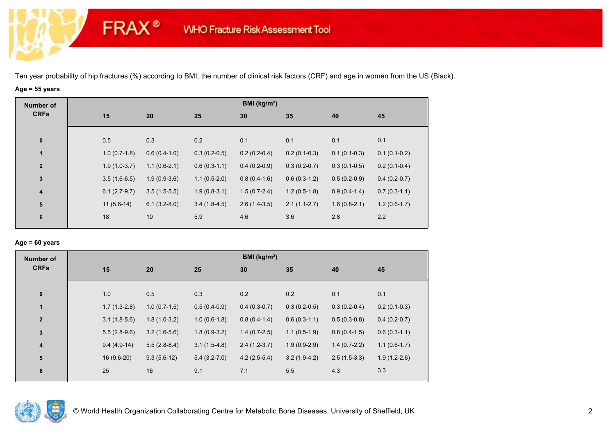# **Age = 55 years**

**FRAX®** 

| <b>Number of</b> |                |                |                | BMI (kg/m <sup>2</sup> ) |                |                |                |
|------------------|----------------|----------------|----------------|--------------------------|----------------|----------------|----------------|
| <b>CRFs</b>      | 15             | 20             | 25             | 30                       | 35             | 40             | 45             |
|                  |                |                |                |                          |                |                |                |
| $\pmb{0}$        | 0.5            | 0.3            | 0.2            | 0.1                      | 0.1            | 0.1            | 0.1            |
| $\mathbf{1}$     | $1.0(0.7-1.8)$ | $0.6(0.4-1.0)$ | $0.3(0.2-0.5)$ | $0.2(0.2-0.4)$           | $0.2(0.1-0.3)$ | $0.1(0.1-0.3)$ | $0.1(0.1-0.2)$ |
| $\overline{2}$   | $1.9(1.0-3.7)$ | $1.1(0.6-2.1)$ | $0.6(0.3-1.1)$ | $0.4(0.2-0.9)$           | $0.3(0.2-0.7)$ | $0.3(0.1-0.5)$ | $0.2(0.1-0.4)$ |
| $\mathbf{3}$     | $3.5(1.6-6.5)$ | $1.9(0.9-3.6)$ | $1.1(0.5-2.0)$ | $0.8(0.4-1.6)$           | $0.6(0.3-1.2)$ | $0.5(0.2-0.9)$ | $0.4(0.2-0.7)$ |
| 4                | $6.1(2.7-9.7)$ | $3.5(1.5-5.5)$ | $1.9(0.8-3.1)$ | $1.5(0.7-2.4)$           | $1.2(0.5-1.8)$ | $0.9(0.4-1.4)$ | $0.7(0.3-1.1)$ |
| 5                | $11(5.6-14)$   | $6.1(3.2-8.0)$ | $3.4(1.8-4.5)$ | $2.6(1.4-3.5)$           | $2.1(1.1-2.7)$ | $1.6(0.8-2.1)$ | $1.2(0.6-1.7)$ |
| 6                | 18             | 10             | 5.9            | 4.6                      | 3.6            | 2.8            | 2.2            |
|                  |                |                |                |                          |                |                |                |

## **Age = 60 years**

| <b>Number of</b> |                |                |                | BMI ( $kg/m2$ ) |                |                |                |
|------------------|----------------|----------------|----------------|-----------------|----------------|----------------|----------------|
| <b>CRFs</b>      | 15             | 20             | 25             | 30              | 35             | 40             | 45             |
|                  |                |                |                |                 |                |                |                |
| $\pmb{0}$        | 1.0            | 0.5            | 0.3            | 0.2             | 0.2            | 0.1            | 0.1            |
| $\mathbf{1}$     | $1.7(1.3-2.8)$ | $1.0(0.7-1.5)$ | $0.5(0.4-0.9)$ | $0.4(0.3-0.7)$  | $0.3(0.2-0.5)$ | $0.3(0.2-0.4)$ | $0.2(0.1-0.3)$ |
| $\mathbf{2}$     | $3.1(1.8-5.6)$ | $1.8(1.0-3.2)$ | $1.0(0.6-1.8)$ | $0.8(0.4-1.4)$  | $0.6(0.3-1.1)$ | $0.5(0.3-0.8)$ | $0.4(0.2-0.7)$ |
| 3                | $5.5(2.8-9.6)$ | $3.2(1.6-5.6)$ | $1.8(0.9-3.2)$ | $1.4(0.7-2.5)$  | $1.1(0.5-1.9)$ | $0.8(0.4-1.5)$ | $0.6(0.3-1.1)$ |
| 4                | $9.4(4.9-14)$  | $5.5(2.8-8.4)$ | $3.1(1.5-4.8)$ | $2.4(1.2-3.7)$  | $1.9(0.9-2.9)$ | $1.4(0.7-2.2)$ | $1.1(0.6-1.7)$ |
| ${\bf 5}$        | $16(9.6-20)$   | $9.3(5.6-12)$  | $5.4(3.2-7.0)$ | $4.2(2.5-5.4)$  | $3.2(1.9-4.2)$ | $2.5(1.5-3.3)$ | $1.9(1.2-2.6)$ |
| $6\phantom{1}6$  | 25             | 16             | 9.1            | 7.1             | 5.5            | 4.3            | 3.3            |
|                  |                |                |                |                 |                |                |                |

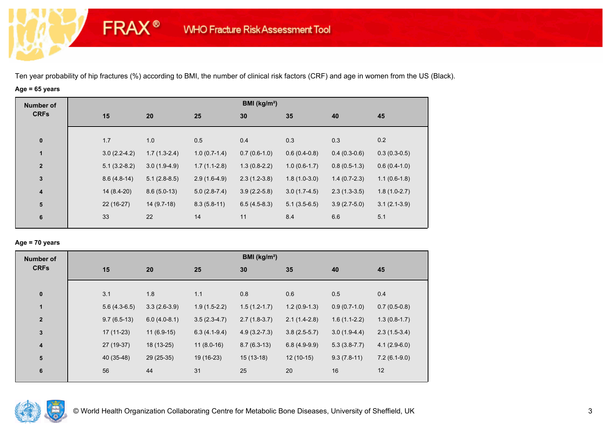# **Age = 65 years**

**FRAX®** 

| <b>Number of</b><br><b>CRFs</b> |                |                |                | BMI ( $kg/m2$ ) |                |                |                |
|---------------------------------|----------------|----------------|----------------|-----------------|----------------|----------------|----------------|
|                                 | 15             | 20             | 25             | 30              | 35             | 40             | 45             |
|                                 |                |                |                |                 |                |                |                |
| $\bf{0}$                        | 1.7            | 1.0            | 0.5            | 0.4             | 0.3            | 0.3            | 0.2            |
| $\mathbf{1}$                    | $3.0(2.2-4.2)$ | $1.7(1.3-2.4)$ | $1.0(0.7-1.4)$ | $0.7(0.6-1.0)$  | $0.6(0.4-0.8)$ | $0.4(0.3-0.6)$ | $0.3(0.3-0.5)$ |
| $\overline{2}$                  | $5.1(3.2-8.2)$ | $3.0(1.9-4.9)$ | $1.7(1.1-2.8)$ | $1.3(0.8-2.2)$  | $1.0(0.6-1.7)$ | $0.8(0.5-1.3)$ | $0.6(0.4-1.0)$ |
| $\mathbf 3$                     | $8.6(4.8-14)$  | $5.1(2.8-8.5)$ | $2.9(1.6-4.9)$ | $2.3(1.2-3.8)$  | $1.8(1.0-3.0)$ | $1.4(0.7-2.3)$ | $1.1(0.6-1.8)$ |
| $\overline{\mathbf{4}}$         | 14 (8.4-20)    | $8.6(5.0-13)$  | $5.0(2.8-7.4)$ | $3.9(2.2-5.8)$  | $3.0(1.7-4.5)$ | $2.3(1.3-3.5)$ | $1.8(1.0-2.7)$ |
| ${\bf 5}$                       | $22(16-27)$    | $14(9.7-18)$   | $8.3(5.8-11)$  | $6.5(4.5-8.3)$  | $5.1(3.5-6.5)$ | $3.9(2.7-5.0)$ | $3.1(2.1-3.9)$ |
| 6                               | 33             | 22             | 14             | 11              | 8.4            | 6.6            | 5.1            |

### **Age = 70 years**

| <b>Number of</b>        |                |                |                | BMI (kg/m <sup>2</sup> ) |                |                |                |
|-------------------------|----------------|----------------|----------------|--------------------------|----------------|----------------|----------------|
| <b>CRFs</b>             | 15             | 20             | 25             | 30                       | 35             | 40             | 45             |
|                         |                |                |                |                          |                |                |                |
| $\pmb{0}$               | 3.1            | 1.8            | 1.1            | 0.8                      | 0.6            | 0.5            | 0.4            |
| $\mathbf{1}$            | $5.6(4.3-6.5)$ | $3.3(2.6-3.9)$ | $1.9(1.5-2.2)$ | $1.5(1.2-1.7)$           | $1.2(0.9-1.3)$ | $0.9(0.7-1.0)$ | $0.7(0.5-0.8)$ |
| $\overline{\mathbf{2}}$ | $9.7(6.5-13)$  | $6.0(4.0-8.1)$ | $3.5(2.3-4.7)$ | $2.7(1.8-3.7)$           | $2.1(1.4-2.8)$ | $1.6(1.1-2.2)$ | $1.3(0.8-1.7)$ |
| $\mathbf 3$             | $17(11-23)$    | $11(6.9-15)$   | $6.3(4.1-9.4)$ | $4.9(3.2 - 7.3)$         | $3.8(2.5-5.7)$ | $3.0(1.9-4.4)$ | $2.3(1.5-3.4)$ |
| $\overline{\mathbf{4}}$ | 27 (19-37)     | 18 (13-25)     | $11(8.0-16)$   | $8.7(6.3-13)$            | $6.8(4.9-9.9)$ | $5.3(3.8-7.7)$ | $4.1(2.9-6.0)$ |
| 5                       | 40 (35-48)     | 29 (25-35)     | 19 (16-23)     | $15(13-18)$              | $12(10-15)$    | $9.3(7.8-11)$  | $7.2(6.1-9.0)$ |
| 6                       | 56             | 44             | 31             | 25                       | 20             | 16             | 12             |
|                         |                |                |                |                          |                |                |                |

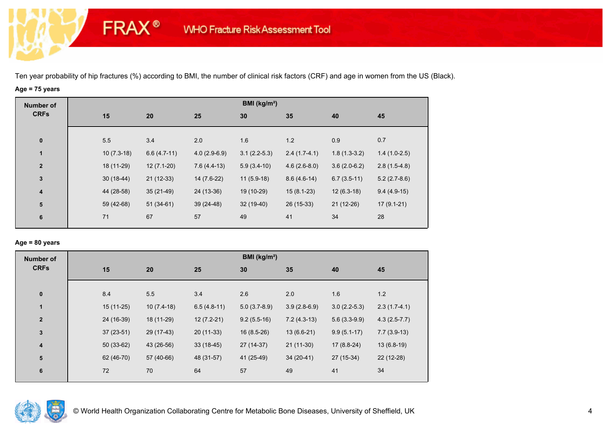# **Age = 75 years**

**FRAX®** 

| <b>Number of</b> |              |               |                | BMI ( $kg/m2$ ) |                |                |                |
|------------------|--------------|---------------|----------------|-----------------|----------------|----------------|----------------|
| <b>CRFs</b>      | 15           | 20            | 25             | 30              | 35             | 40             | 45             |
| $\bf{0}$         | 5.5          | 3.4           | 2.0            | 1.6             | 1.2            | 0.9            | 0.7            |
| $\mathbf{1}$     | $10(7.3-18)$ | $6.6(4.7-11)$ | $4.0(2.9-6.9)$ | $3.1(2.2-5.3)$  | $2.4(1.7-4.1)$ | $1.8(1.3-3.2)$ | $1.4(1.0-2.5)$ |
| $\mathbf{2}$     | 18 (11-29)   | $12(7.1-20)$  | $7.6(4.4-13)$  | $5.9(3.4-10)$   | $4.6(2.6-8.0)$ | $3.6(2.0-6.2)$ | $2.8(1.5-4.8)$ |
| $\mathbf 3$      | $30(18-44)$  | $21(12-33)$   | 14 (7.6-22)    | $11(5.9-18)$    | $8.6(4.6-14)$  | $6.7(3.5-11)$  | $5.2(2.7-8.6)$ |
| 4                | 44 (28-58)   | $35(21-49)$   | 24 (13-36)     | 19 (10-29)      | $15(8.1-23)$   | $12(6.3-18)$   | $9.4(4.9-15)$  |
| ${\bf 5}$        | 59 (42-68)   | $51(34-61)$   | $39(24-48)$    | 32 (19-40)      | 26 (15-33)     | $21(12-26)$    | $17(9.1-21)$   |
| 6                | 71           | 67            | 57             | 49              | 41             | 34             | 28             |
|                  |              |               |                |                 |                |                |                |

## **Age = 80 years**

| <b>Number of</b>        |     |                            |               | BMI ( $kg/m2$ ) |                |                |                |
|-------------------------|-----|----------------------------|---------------|-----------------|----------------|----------------|----------------|
| <b>CRFs</b>             | 15  | 20                         | 25            | 30              | 35             | 40             | 45             |
| $\pmb{0}$               | 8.4 | 5.5                        | 3.4           | 2.6             | 2.0            | 1.6            | 1.2            |
| $\mathbf{1}$            |     | 15 (11-25)<br>$10(7.4-18)$ | $6.5(4.8-11)$ | $5.0(3.7-8.9)$  | $3.9(2.8-6.9)$ | $3.0(2.2-5.3)$ | $2.3(1.7-4.1)$ |
| $\mathbf{2}$            |     | 24 (16-39)<br>18 (11-29)   | $12(7.2-21)$  | $9.2(5.5-16)$   | $7.2(4.3-13)$  | $5.6(3.3-9.9)$ | $4.3(2.5-7.7)$ |
| 3                       |     | $37(23-51)$<br>29 (17-43)  | $20(11-33)$   | $16(8.5-26)$    | $13(6.6-21)$   | $9.9(5.1-17)$  | $7.7(3.9-13)$  |
| $\overline{\mathbf{4}}$ |     | $50(33-62)$<br>43 (26-56)  | $33(18-45)$   | 27 (14-37)      | $21(11-30)$    | $17(8.8-24)$   | $13(6.8-19)$   |
| ${\bf 5}$               |     | 62 (46-70)<br>57 (40-66)   | 48 (31-57)    | 41 (25-49)      | $34(20-41)$    | 27 (15-34)     | 22 (12-28)     |
| 6                       | 72  | 70                         | 64            | 57              | 49             | 41             | 34             |